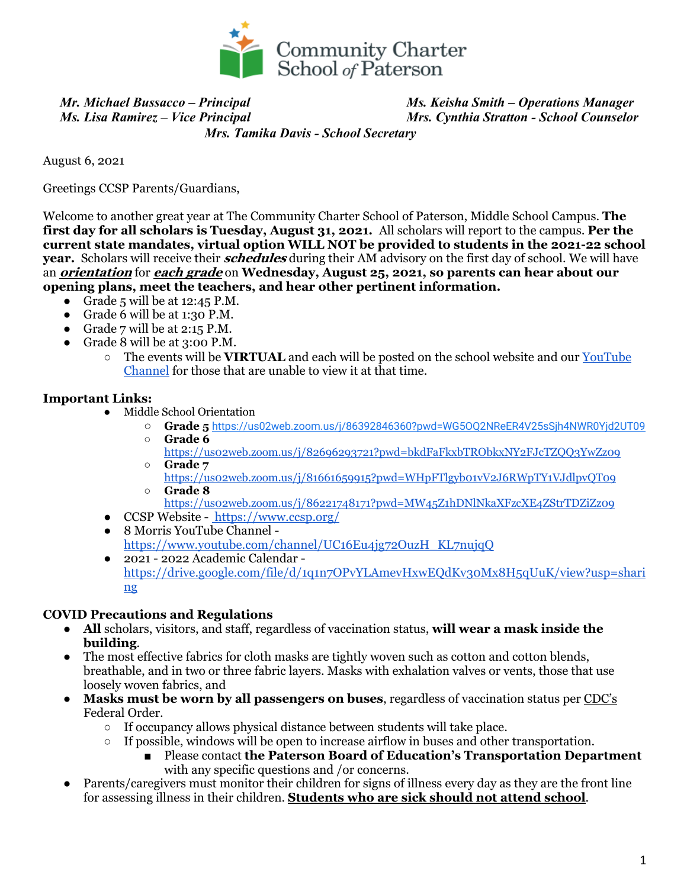

 *Mr. Michael Bussacco – Principal Ms. Keisha Smith – Operations Manager Ms. Lisa Ramirez – Vice Principal Mrs. Cynthia Stratton - School Counselor*

 *Mrs. Tamika Davis - School Secretary*

August 6, 2021

Greetings CCSP Parents/Guardians,

Welcome to another great year at The Community Charter School of Paterson, Middle School Campus. **The first day for all scholars is Tuesday, August 31, 2021.** All scholars will report to the campus. **Per the current state mandates, virtual option WILL NOT be provided to students in the 2021-22 school year.** Scholars will receive their **schedules** during their AM advisory on the first day of school. We will have an **orientation** for **each grade** on **Wednesday, August 25, 2021, so parents can hear about our opening plans, meet the teachers, and hear other pertinent information.**

- Grade 5 will be at  $12:45$  P.M.
- Grade 6 will be at 1:30 P.M.
- Grade  $7$  will be at  $2:15$  P.M.
- Grade 8 will be at 3:00 P.M.
	- The events will be **VIRTUAL** and each will be posted on the school website and our YouTube Channel for those that are unable to view it at that time.

#### **Important Links:**

- Middle School Orientation
	- **Grade 5** https://us02web.zoom.us/j/86392846360?pwd=WG5OQ2NReER4V25sSjh4NWR0Yjd2UT09
	- **Grade 6**
	- https://us02web.zoom.us/j/82696293721?pwd=bkdFaFkxbTRObkxNY2FJcTZQQ3YwZz09 ○ **Grade 7**
	- https://us02web.zoom.us/j/81661659915?pwd=WHpFTlgyb01vV2J6RWpTY1VJdlpvQT09 ○ **Grade 8**

https://us02web.zoom.us/j/86221748171?pwd=MW45Z1hDNlNkaXFzcXE4ZStrTDZiZz09

- CCSP Website https://www.ccsp.org/
- 8 Morris YouTube Channel https://www.youtube.com/channel/UC16Eu4jg72OuzH\_KL7nujqQ
- 2021 2022 Academic Calendar https://drive.google.com/file/d/1q1n7OPvYLAmevHxwEQdKv30Mx8H5qUuK/view?usp=shari ng

#### **COVID Precautions and Regulations**

- **All** scholars, visitors, and staff, regardless of vaccination status, **will wear a mask inside the building**.
- The most effective fabrics for cloth masks are tightly woven such as cotton and cotton blends, breathable, and in two or three fabric layers. Masks with exhalation valves or vents, those that use loosely woven fabrics, and
- **Masks must be worn by all passengers on buses**, regardless of vaccination status per CDC's Federal Order.
	- If occupancy allows physical distance between students will take place.
	- $\circ$  If possible, windows will be open to increase airflow in buses and other transportation.
		- Please contact **the Paterson Board of Education's Transportation Department** with any specific questions and /or concerns.
- Parents/caregivers must monitor their children for signs of illness every day as they are the front line for assessing illness in their children. **Students who are sick should not attend school**.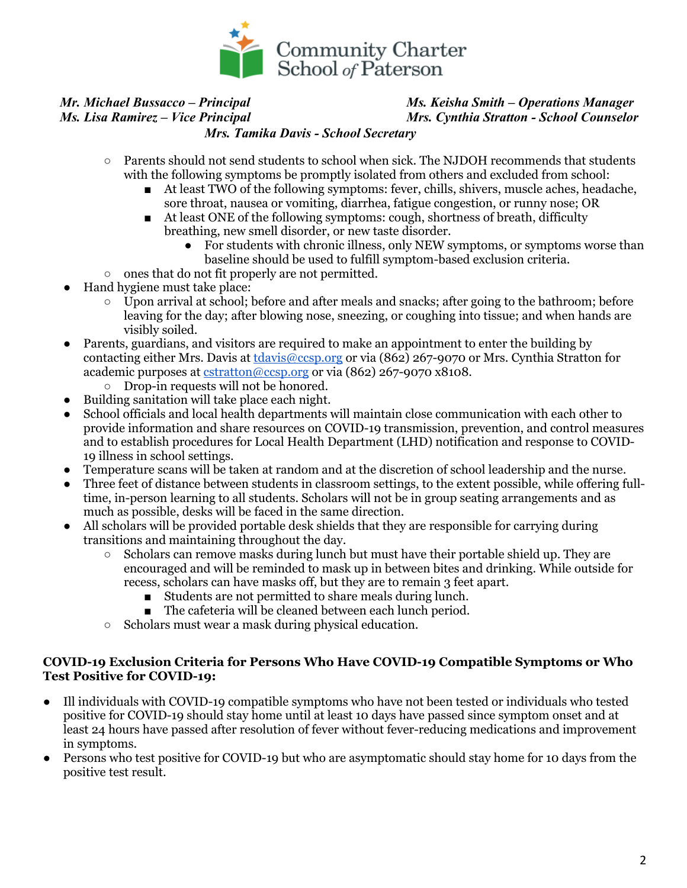

## *Mr. Michael Bussacco – Principal Ms. Keisha Smith – Operations Manager Ms. Lisa Ramirez – Vice Principal Mrs. Cynthia Stratton - School Counselor*

#### *Mrs. Tamika Davis - School Secretary*

- Parents should not send students to school when sick. The NJDOH recommends that students with the following symptoms be promptly isolated from others and excluded from school:
	- At least TWO of the following symptoms: fever, chills, shivers, muscle aches, headache, sore throat, nausea or vomiting, diarrhea, fatigue congestion, or runny nose; OR
	- At least ONE of the following symptoms: cough, shortness of breath, difficulty breathing, new smell disorder, or new taste disorder.
		- For students with chronic illness, only NEW symptoms, or symptoms worse than baseline should be used to fulfill symptom-based exclusion criteria.
- ones that do not fit properly are not permitted.
- Hand hygiene must take place:
	- Upon arrival at school; before and after meals and snacks; after going to the bathroom; before leaving for the day; after blowing nose, sneezing, or coughing into tissue; and when hands are visibly soiled.
- Parents, guardians, and visitors are required to make an appointment to enter the building by contacting either Mrs. Davis at tdavis@ccsp.org or via (862) 267-9070 or Mrs. Cynthia Stratton for academic purposes at cstratton@ccsp.org or via (862) 267-9070 x8108.
	- Drop-in requests will not be honored.
- Building sanitation will take place each night.
- School officials and local health departments will maintain close communication with each other to provide information and share resources on COVID-19 transmission, prevention, and control measures and to establish procedures for Local Health Department (LHD) notification and response to COVID-19 illness in school settings.
- Temperature scans will be taken at random and at the discretion of school leadership and the nurse.
- Three feet of distance between students in classroom settings, to the extent possible, while offering fulltime, in-person learning to all students. Scholars will not be in group seating arrangements and as much as possible, desks will be faced in the same direction.
- All scholars will be provided portable desk shields that they are responsible for carrying during transitions and maintaining throughout the day.
	- $\circ$  Scholars can remove masks during lunch but must have their portable shield up. They are encouraged and will be reminded to mask up in between bites and drinking. While outside for recess, scholars can have masks off, but they are to remain 3 feet apart.
		- Students are not permitted to share meals during lunch.
		- The cafeteria will be cleaned between each lunch period.
	- Scholars must wear a mask during physical education.

#### **COVID-19 Exclusion Criteria for Persons Who Have COVID-19 Compatible Symptoms or Who Test Positive for COVID-19:**

- Ill individuals with COVID-19 compatible symptoms who have not been tested or individuals who tested positive for COVID-19 should stay home until at least 10 days have passed since symptom onset and at least 24 hours have passed after resolution of fever without fever-reducing medications and improvement in symptoms.
- Persons who test positive for COVID-19 but who are asymptomatic should stay home for 10 days from the positive test result.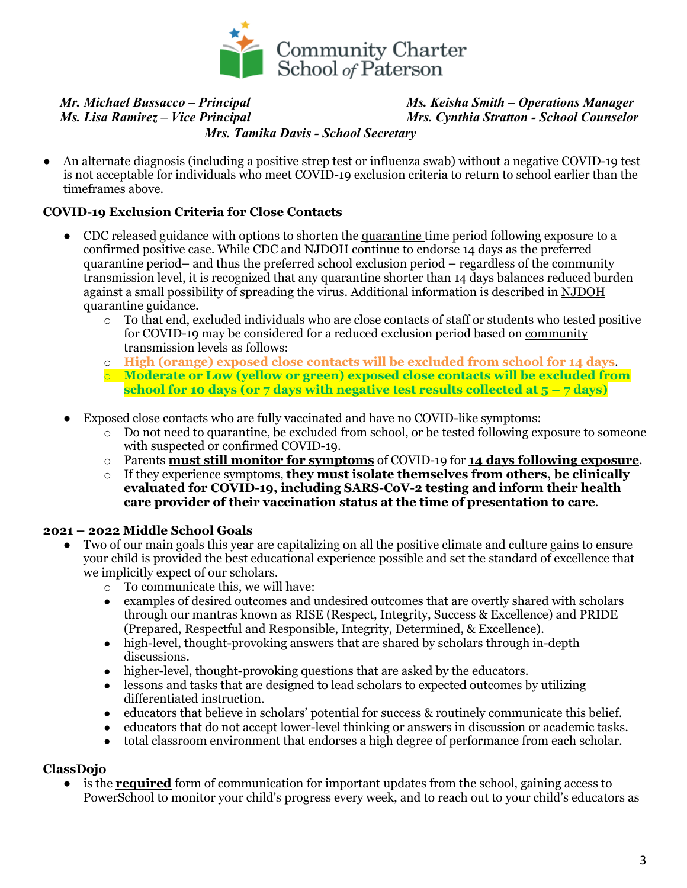

#### *Mr. Michael Bussacco – Principal Ms. Keisha Smith – Operations Manager Ms. Lisa Ramirez – Vice Principal Mrs. Cynthia Stratton - School Counselor Mrs. Tamika Davis - School Secretary*

● An alternate diagnosis (including a positive strep test or influenza swab) without a negative COVID-19 test is not acceptable for individuals who meet COVID-19 exclusion criteria to return to school earlier than the timeframes above.

#### **COVID-19 Exclusion Criteria for Close Contacts**

- CDC released guidance with options to shorten the quarantine time period following exposure to a confirmed positive case. While CDC and NJDOH continue to endorse 14 days as the preferred quarantine period– and thus the preferred school exclusion period – regardless of the community transmission level, it is recognized that any quarantine shorter than 14 days balances reduced burden against a small possibility of spreading the virus. Additional information is described in NJDOH quarantine guidance.
	- o To that end, excluded individuals who are close contacts of staff or students who tested positive for COVID-19 may be considered for a reduced exclusion period based on community transmission levels as follows:
	- o **High (orange) exposed close contacts will be excluded from school for 14 days**.
	- o **Moderate or Low (yellow or green) exposed close contacts will be excluded from school for 10 days (or 7 days with negative test results collected at 5 – 7 days)**
- Exposed close contacts who are fully vaccinated and have no COVID-like symptoms:
	- o Do not need to quarantine, be excluded from school, or be tested following exposure to someone with suspected or confirmed COVID-19.
	- o Parents **must still monitor for symptoms** of COVID-19 for **14 days following exposure**.
	- o If they experience symptoms, **they must isolate themselves from others, be clinically evaluated for COVID-19, including SARS-CoV-2 testing and inform their health care provider of their vaccination status at the time of presentation to care**.

#### **2021 – 2022 Middle School Goals**

- Two of our main goals this year are capitalizing on all the positive climate and culture gains to ensure your child is provided the best educational experience possible and set the standard of excellence that we implicitly expect of our scholars.
	- o To communicate this, we will have:
	- examples of desired outcomes and undesired outcomes that are overtly shared with scholars through our mantras known as RISE (Respect, Integrity, Success & Excellence) and PRIDE (Prepared, Respectful and Responsible, Integrity, Determined, & Excellence).
	- high-level, thought-provoking answers that are shared by scholars through in-depth discussions.
	- higher-level, thought-provoking questions that are asked by the educators.
	- lessons and tasks that are designed to lead scholars to expected outcomes by utilizing differentiated instruction.
	- educators that believe in scholars' potential for success & routinely communicate this belief.
	- educators that do not accept lower-level thinking or answers in discussion or academic tasks.
	- total classroom environment that endorses a high degree of performance from each scholar.

#### **ClassDojo**

is the **required** form of communication for important updates from the school, gaining access to PowerSchool to monitor your child's progress every week, and to reach out to your child's educators as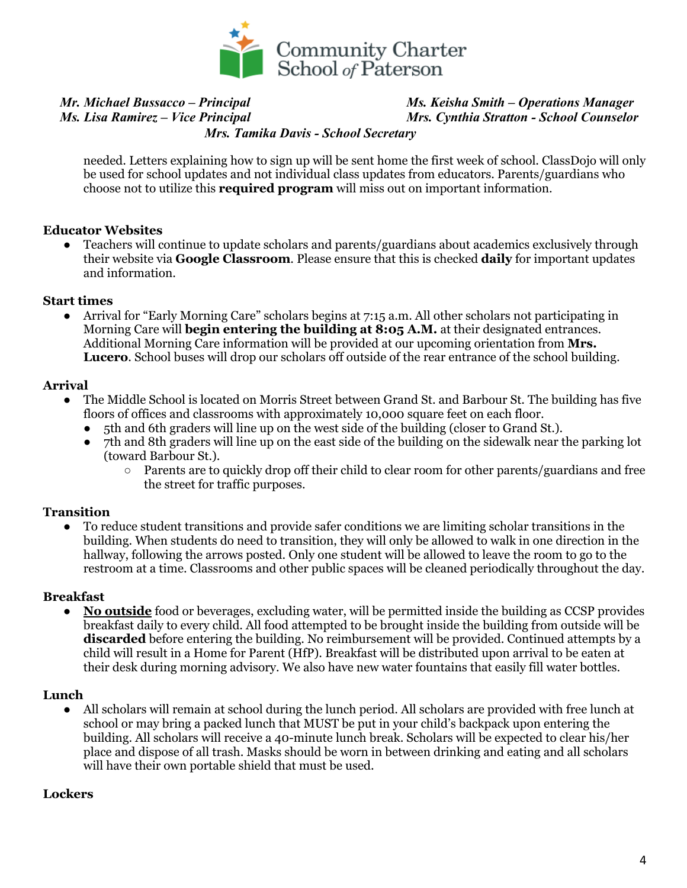

# *Mr. Michael Bussacco – Principal Ms. Keisha Smith – Operations Manager*

## *Ms. Lisa Ramirez – Vice Principal Mrs. Cynthia Stratton - School Counselor*

 *Mrs. Tamika Davis - School Secretary*

needed. Letters explaining how to sign up will be sent home the first week of school. ClassDojo will only be used for school updates and not individual class updates from educators. Parents/guardians who choose not to utilize this **required program** will miss out on important information.

#### **Educator Websites**

• Teachers will continue to update scholars and parents/guardians about academics exclusively through their website via **Google Classroom**. Please ensure that this is checked **daily** for important updates and information.

#### **Start times**

● Arrival for "Early Morning Care" scholars begins at 7:15 a.m. All other scholars not participating in Morning Care will **begin entering the building at 8:05 A.M.** at their designated entrances. Additional Morning Care information will be provided at our upcoming orientation from **Mrs. Lucero**. School buses will drop our scholars off outside of the rear entrance of the school building.

#### **Arrival**

- The Middle School is located on Morris Street between Grand St. and Barbour St. The building has five floors of offices and classrooms with approximately 10,000 square feet on each floor.
	- 5th and 6th graders will line up on the west side of the building (closer to Grand St.).
	- 7th and 8th graders will line up on the east side of the building on the sidewalk near the parking lot (toward Barbour St.).
		- Parents are to quickly drop off their child to clear room for other parents/guardians and free the street for traffic purposes.

#### **Transition**

● To reduce student transitions and provide safer conditions we are limiting scholar transitions in the building. When students do need to transition, they will only be allowed to walk in one direction in the hallway, following the arrows posted. Only one student will be allowed to leave the room to go to the restroom at a time. Classrooms and other public spaces will be cleaned periodically throughout the day.

#### **Breakfast**

● **No outside** food or beverages, excluding water, will be permitted inside the building as CCSP provides breakfast daily to every child. All food attempted to be brought inside the building from outside will be **discarded** before entering the building. No reimbursement will be provided. Continued attempts by a child will result in a Home for Parent (HfP). Breakfast will be distributed upon arrival to be eaten at their desk during morning advisory. We also have new water fountains that easily fill water bottles.

#### **Lunch**

● All scholars will remain at school during the lunch period. All scholars are provided with free lunch at school or may bring a packed lunch that MUST be put in your child's backpack upon entering the building. All scholars will receive a 40-minute lunch break. Scholars will be expected to clear his/her place and dispose of all trash. Masks should be worn in between drinking and eating and all scholars will have their own portable shield that must be used.

#### **Lockers**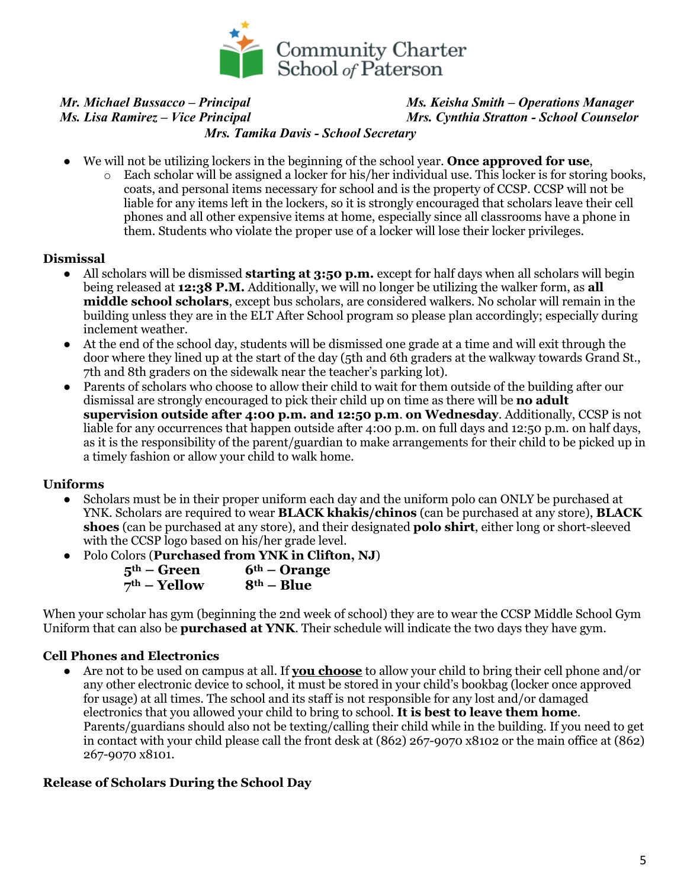

#### *Mr. Michael Bussacco – Principal Ms. Keisha Smith – Operations Manager Ms. Lisa Ramirez – Vice Principal Mrs. Cynthia Stratton - School Counselor Mrs. Tamika Davis - School Secretary*

- We will not be utilizing lockers in the beginning of the school year. **Once approved for use**,
	- o Each scholar will be assigned a locker for his/her individual use. This locker is for storing books, coats, and personal items necessary for school and is the property of CCSP. CCSP will not be liable for any items left in the lockers, so it is strongly encouraged that scholars leave their cell phones and all other expensive items at home, especially since all classrooms have a phone in them. Students who violate the proper use of a locker will lose their locker privileges.

#### **Dismissal**

- All scholars will be dismissed **starting at 3:50 p.m.** except for half days when all scholars will begin being released at **12:38 P.M.** Additionally, we will no longer be utilizing the walker form, as **all middle school scholars**, except bus scholars, are considered walkers. No scholar will remain in the building unless they are in the ELT After School program so please plan accordingly; especially during inclement weather.
- At the end of the school day, students will be dismissed one grade at a time and will exit through the door where they lined up at the start of the day (5th and 6th graders at the walkway towards Grand St., 7th and 8th graders on the sidewalk near the teacher's parking lot).
- Parents of scholars who choose to allow their child to wait for them outside of the building after our dismissal are strongly encouraged to pick their child up on time as there will be **no adult supervision outside after 4:00 p.m. and 12:50 p.m**. **on Wednesday**. Additionally, CCSP is not liable for any occurrences that happen outside after 4:00 p.m. on full days and 12:50 p.m. on half days, as it is the responsibility of the parent/guardian to make arrangements for their child to be picked up in a timely fashion or allow your child to walk home.

#### **Uniforms**

- Scholars must be in their proper uniform each day and the uniform polo can ONLY be purchased at YNK. Scholars are required to wear **BLACK khakis/chinos** (can be purchased at any store), **BLACK shoes** (can be purchased at any store), and their designated **polo shirt**, either long or short-sleeved with the CCSP logo based on his/her grade level.
- Polo Colors (**Purchased from YNK in Clifton, NJ**)

| $5th$ – Green  | $6th$ – Orange |
|----------------|----------------|
| $7th$ – Yellow | $8th - Blue$   |

When your scholar has gym (beginning the 2nd week of school) they are to wear the CCSP Middle School Gym Uniform that can also be **purchased at YNK**. Their schedule will indicate the two days they have gym.

#### **Cell Phones and Electronics**

● Are not to be used on campus at all. If **you choose** to allow your child to bring their cell phone and/or any other electronic device to school, it must be stored in your child's bookbag (locker once approved for usage) at all times. The school and its staff is not responsible for any lost and/or damaged electronics that you allowed your child to bring to school. **It is best to leave them home**. Parents/guardians should also not be texting/calling their child while in the building. If you need to get in contact with your child please call the front desk at (862) 267-9070 x8102 or the main office at (862) 267-9070 x8101.

#### **Release of Scholars During the School Day**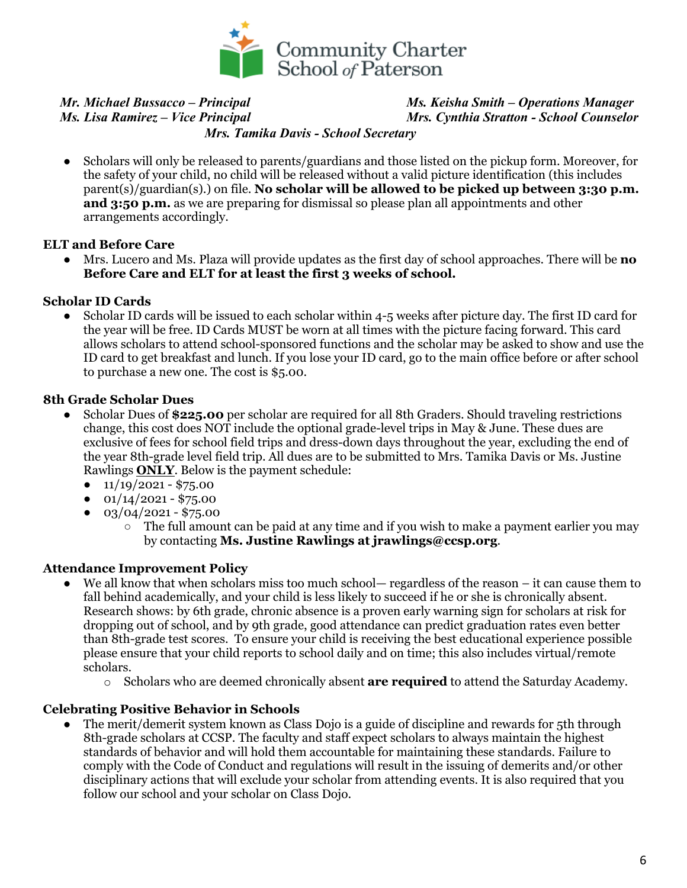

## *Mr. Michael Bussacco – Principal Ms. Keisha Smith – Operations Manager Ms. Lisa Ramirez – Vice Principal Mrs. Cynthia Stratton - School Counselor*

 *Mrs. Tamika Davis - School Secretary*

• Scholars will only be released to parents/guardians and those listed on the pickup form. Moreover, for the safety of your child, no child will be released without a valid picture identification (this includes parent(s)/guardian(s).) on file. **No scholar will be allowed to be picked up between 3:30 p.m. and 3:50 p.m.** as we are preparing for dismissal so please plan all appointments and other arrangements accordingly.

#### **ELT and Before Care**

● Mrs. Lucero and Ms. Plaza will provide updates as the first day of school approaches. There will be **no Before Care and ELT for at least the first 3 weeks of school.**

#### **Scholar ID Cards**

● Scholar ID cards will be issued to each scholar within 4-5 weeks after picture day. The first ID card for the year will be free. ID Cards MUST be worn at all times with the picture facing forward. This card allows scholars to attend school-sponsored functions and the scholar may be asked to show and use the ID card to get breakfast and lunch. If you lose your ID card, go to the main office before or after school to purchase a new one. The cost is \$5.00.

#### **8th Grade Scholar Dues**

- Scholar Dues of **\$225.00** per scholar are required for all 8th Graders. Should traveling restrictions change, this cost does NOT include the optional grade-level trips in May & June. These dues are exclusive of fees for school field trips and dress-down days throughout the year, excluding the end of the year 8th-grade level field trip. All dues are to be submitted to Mrs. Tamika Davis or Ms. Justine Rawlings **ONLY**. Below is the payment schedule:
	- $\bullet$  11/19/2021 \$75.00
	- $\bullet$  01/14/2021 \$75.00
	- $\bullet$  03/04/2021 \$75.00
		- $\circ$  The full amount can be paid at any time and if you wish to make a payment earlier you may by contacting **Ms. Justine Rawlings at jrawlings@ccsp.org**.

### **Attendance Improvement Policy**

- We all know that when scholars miss too much school— regardless of the reason it can cause them to fall behind academically, and your child is less likely to succeed if he or she is chronically absent. Research shows: by 6th grade, chronic absence is a proven early warning sign for scholars at risk for dropping out of school, and by 9th grade, good attendance can predict graduation rates even better than 8th-grade test scores. To ensure your child is receiving the best educational experience possible please ensure that your child reports to school daily and on time; this also includes virtual/remote scholars.
	- o Scholars who are deemed chronically absent **are required** to attend the Saturday Academy.

#### **Celebrating Positive Behavior in Schools**

The merit/demerit system known as Class Dojo is a guide of discipline and rewards for 5th through 8th-grade scholars at CCSP. The faculty and staff expect scholars to always maintain the highest standards of behavior and will hold them accountable for maintaining these standards. Failure to comply with the Code of Conduct and regulations will result in the issuing of demerits and/or other disciplinary actions that will exclude your scholar from attending events. It is also required that you follow our school and your scholar on Class Dojo.